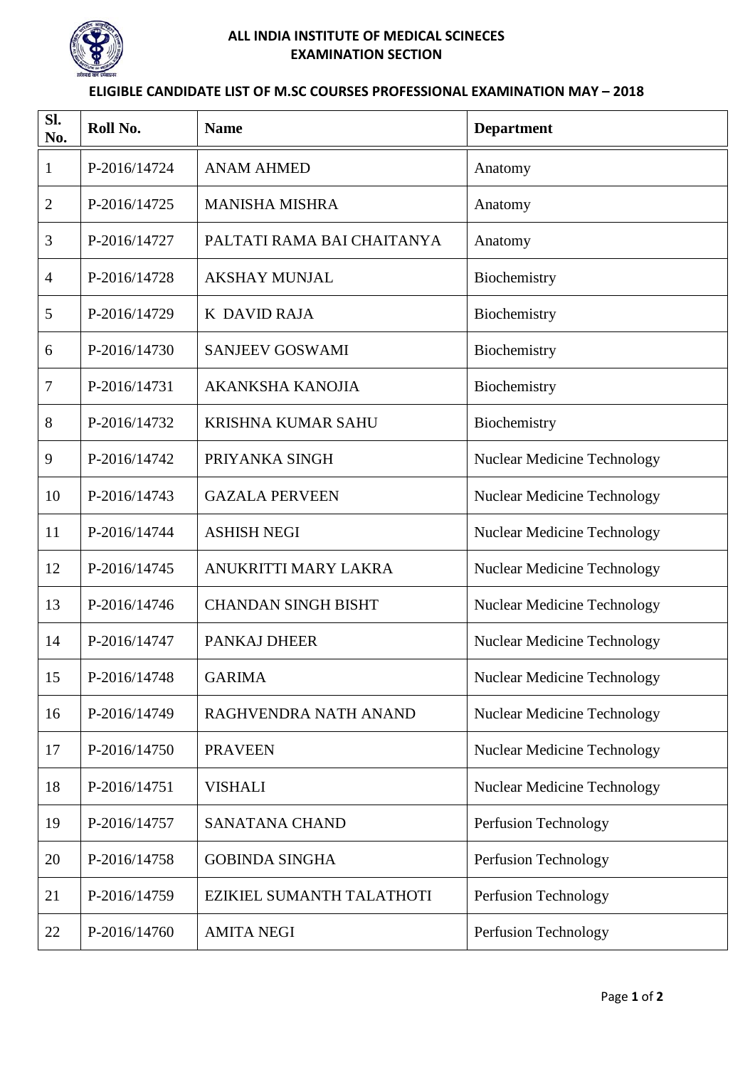

## **ALL INDIA INSTITUTE OF MEDICAL SCINECES EXAMINATION SECTION**

## **ELIGIBLE CANDIDATE LIST OF M.SC COURSES PROFESSIONAL EXAMINATION MAY – 2018**

| SI.<br>No.     | Roll No.     | <b>Name</b>                | <b>Department</b>                  |
|----------------|--------------|----------------------------|------------------------------------|
| $\mathbf 1$    | P-2016/14724 | <b>ANAM AHMED</b>          | Anatomy                            |
| $\overline{2}$ | P-2016/14725 | <b>MANISHA MISHRA</b>      | Anatomy                            |
| 3              | P-2016/14727 | PALTATI RAMA BAI CHAITANYA | Anatomy                            |
| $\overline{4}$ | P-2016/14728 | <b>AKSHAY MUNJAL</b>       | Biochemistry                       |
| 5              | P-2016/14729 | K DAVID RAJA               | Biochemistry                       |
| 6              | P-2016/14730 | <b>SANJEEV GOSWAMI</b>     | Biochemistry                       |
| $\tau$         | P-2016/14731 | <b>AKANKSHA KANOJIA</b>    | Biochemistry                       |
| 8              | P-2016/14732 | <b>KRISHNA KUMAR SAHU</b>  | Biochemistry                       |
| 9              | P-2016/14742 | PRIYANKA SINGH             | <b>Nuclear Medicine Technology</b> |
| 10             | P-2016/14743 | <b>GAZALA PERVEEN</b>      | <b>Nuclear Medicine Technology</b> |
| 11             | P-2016/14744 | <b>ASHISH NEGI</b>         | <b>Nuclear Medicine Technology</b> |
| 12             | P-2016/14745 | ANUKRITTI MARY LAKRA       | <b>Nuclear Medicine Technology</b> |
| 13             | P-2016/14746 | <b>CHANDAN SINGH BISHT</b> | <b>Nuclear Medicine Technology</b> |
| 14             | P-2016/14747 | <b>PANKAJ DHEER</b>        | <b>Nuclear Medicine Technology</b> |
| 15             | P-2016/14748 | <b>GARIMA</b>              | <b>Nuclear Medicine Technology</b> |
| 16             | P-2016/14749 | RAGHVENDRA NATH ANAND      | <b>Nuclear Medicine Technology</b> |
| 17             | P-2016/14750 | <b>PRAVEEN</b>             | <b>Nuclear Medicine Technology</b> |
| 18             | P-2016/14751 | <b>VISHALI</b>             | <b>Nuclear Medicine Technology</b> |
| 19             | P-2016/14757 | <b>SANATANA CHAND</b>      | Perfusion Technology               |
| 20             | P-2016/14758 | <b>GOBINDA SINGHA</b>      | Perfusion Technology               |
| 21             | P-2016/14759 | EZIKIEL SUMANTH TALATHOTI  | Perfusion Technology               |
| 22             | P-2016/14760 | <b>AMITA NEGI</b>          | Perfusion Technology               |